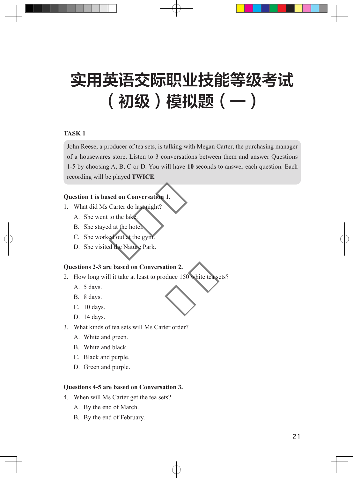## 实用英语交际职业技能等级考试 (初级)模拟题(一)

#### **TASK 1**

John Reese, a producer of tea sets, is talking with Megan Carter, the purchasing manager of a housewares store. Listen to 3 conversations between them and answer Questions 1-5 by choosing A, B, C or D. You will have **10** seconds to answer each question. Each recording will be played **TWICE**.

# **Question 1 is based on Conversation 1. Conversation 1.**<br> **c** Conversation 1.<br> **c** do last night?<br>
lake.<br>
e hotel.<br>
at the gym.<br>
Nature Park.

- 1. What did Ms Carter do last night?
	- A. She went to the lake.
	- B. She stayed at the hotel.
	- C. She worked out at the gym.
	- D. She visited the Nature Park.

#### **Questions 2-3 are based on Conversation 2.**

- 2. How long will it take at least to produce 150 white tea sets? 2.<br>150 white tea sets
	- A. 5 days.
	- B. 8 days.
	- C. 10 days.
	- D. 14 days.
- 3. What kinds of tea sets will Ms Carter order?
	- A. White and green.
	- B. White and black.
	- C. Black and purple.
	- D. Green and purple.

#### **Questions 4-5 are based on Conversation 3.**

- 4. When will Ms Carter get the tea sets?
	- A. By the end of March.
	- B. By the end of February.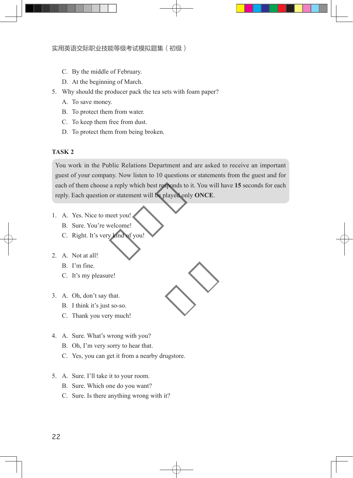- C. By the middle of February.
- D. At the beginning of March.
- 5. Why should the producer pack the tea sets with foam paper?
	- A. To save money.
	- B. To protect them from water.
	- C. To keep them free from dust.
	- D. To protect them from being broken.

### **TASK 2**

You work in the Public Relations Department and are asked to receive an important guest of your company. Now listen to 10 questions or statements from the guest and for each of them choose a reply which best responds to it. You will have **15** seconds for each reply. Each question or statement will be played only **ONCE**. by which best responds to it. You<br>tement will be played only ON<sup>t</sup><br>pulled by ON<sup>t</sup><br>pulled by ONT

- 1. A. Yes. Nice to meet you!
	- B. Sure. You're welcome!
	- C. Right. It's very kind of you!
- 2. A. Not at all!
	- B. I'm fine.
	- C. It's my pleasure!
- 3. A. Oh, don't say that.
	- B. I think it's just so-so.
	- C. Thank you very much!
- 4. A. Sure. What's wrong with you?
	- B. Oh, I'm very sorry to hear that.
	- C. Yes, you can get it from a nearby drugstore.
- 5. A. Sure. I'll take it to your room.
	- B. Sure. Which one do you want?
	- C. Sure. Is there anything wrong with it?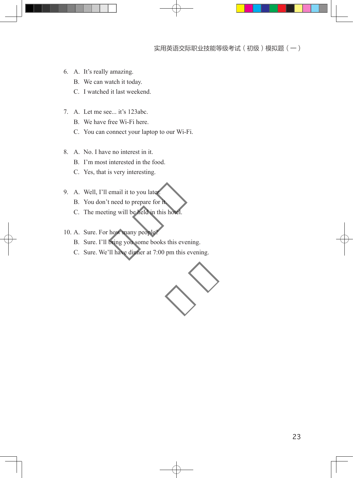- 6. A. It's really amazing.
	- B. We can watch it today.
	- C. I watched it last weekend.
- 7. A. Let me see... it's 123abc.
	- B. We have free Wi-Fi here.
	- C. You can connect your laptop to our Wi-Fi.
- 8. A. No. I have no interest in it.
	- B. I'm most interested in the food.
	- C. Yes, that is very interesting.
- 9. A. Well, I'll email it to you later.
	- B. You don't need to prepare for it.
	- C. The meeting will be held in this hotel.
- 10. A. Sure. For how many people?
	- B. Sure. I'll bring you some books this evening.
- A. Well, I'll email it to you later.<br>
B. You don't need to prepare for it.<br>
C. The meeting will be held in this hotel.<br>
A. Sure. For how many people?<br>
B. Sure. I'll bring you some books this evening.<br>
C. Sure. We'll have d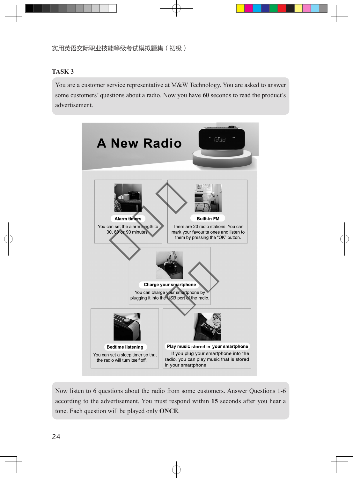#### **TASK 3**

You are a customer service representative at M&W Technology. You are asked to answer some customers' questions about a radio. Now you have **60** seconds to read the product's advertisement.



Now listen to 6 questions about the radio from some customers. Answer Questions 1-6 according to the advertisement. You must respond within **15** seconds after you hear a tone. Each question will be played only **ONCE**.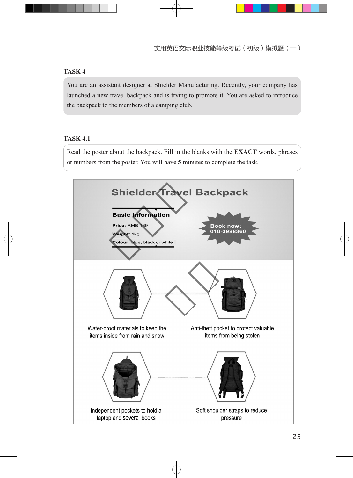#### **TASK 4**

You are an assistant designer at Shielder Manufacturing. Recently, your company has launched a new travel backpack and is trying to promote it. You are asked to introduce the backpack to the members of a camping club.

### **TASK 4.1**

Read the poster about the backpack. Fill in the blanks with the **EXACT** words, phrases or numbers from the poster. You will have **5** minutes to complete the task.

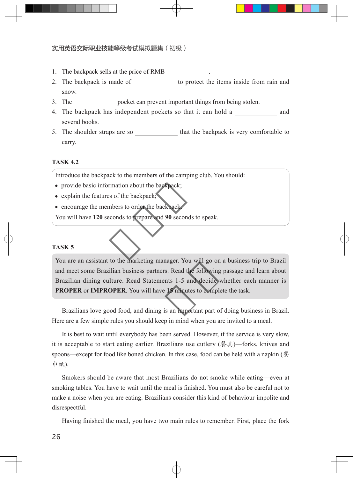#### 实用英语交际职业技能等级考试模拟题集(初级) 实用英语交际职业技能等级考试

- 1. The backpack sells at the price of RMB .
- 2. The backpack is made of to protect the items inside from rain and snow.
- 3. The pocket can prevent important things from being stolen.
- 4. The backpack has independent pockets so that it can hold a and several books.
- 5. The shoulder straps are so that the backpack is very comfortable to carry.

#### **TASK 4.2**

Introduce the backpack to the members of the camping club. You should:

- provide basic information about the backpack;
- explain the features of the backpack;
- encourage the members to order the backpack.

You will have **120** seconds to prepare and **90** seconds to speak. the members of the dimping on<br>on about the backpack;<br>to order the backpack.<br>to prepare and 90 seconds to sp

#### **TASK 5**

You are an assistant to the marketing manager. You will go on a business trip to Brazil and meet some Brazilian business partners. Read the following passage and learn about Brazilian dining culture. Read Statements 1-5 and decide whether each manner is **PROPER** or **IMPROPER**. You will have **15** minutes to complete the task. d the following p<br>5 and decide wh<br>inutes to complete<br>mportant part of c

Brazilians love good food, and dining is an important part of doing business in Brazil. Here are a few simple rules you should keep in mind when you are invited to a meal.

It is best to wait until everybody has been served. However, if the service is very slow, it is acceptable to start eating earlier. Brazilians use cutlery (餐具)—forks, knives and spoons—except for food like boned chicken. In this case, food can be held with a napkin (餐 巾纸).

Smokers should be aware that most Brazilians do not smoke while eating—even at smoking tables. You have to wait until the meal is finished. You must also be careful not to make a noise when you are eating. Brazilians consider this kind of behaviour impolite and disrespectful.

Having finished the meal, you have two main rules to remember. First, place the fork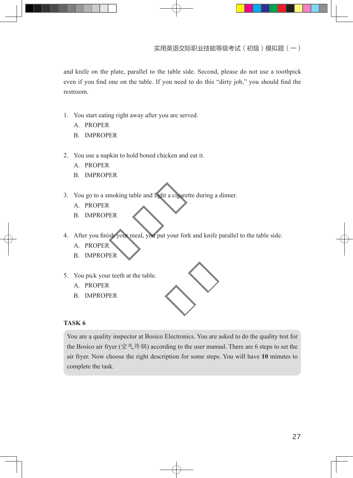and knife on the plate, parallel to the table side. Second, please do not use a toothpick even if you find one on the table. If you need to do this "dirty job," you should find the restroom.

- 1. You start eating right away after you are served.
	- A. PROPER
	- B. IMPROPER
- 2. You use a napkin to hold boned chicken and eat it.
	- A. PROPER
	- B. IMPROPER
- 3. You go to a smoking table and light a cigarette during a dinner. g table and light a cigarette dur<br>
ur meal, you put your fork and l
	- A. PROPER
	- B. IMPROPER
- 4. After you finish your meal, you put your fork and knife parallel to the table side.
	- A. PROPER
	- B. IMPROPER
- 5. You pick your teeth at the table.
	- A. PROPER
	- B. IMPROPER

#### **TASK 6**

You are a quality inspector at Bosico Electronics. You are asked to do the quality test for the Bosico air fryer (空气炸锅) according to the user manual. There are 6 steps to set the air fryer. Now choose the right description for some steps. You will have **10** minutes to complete the task.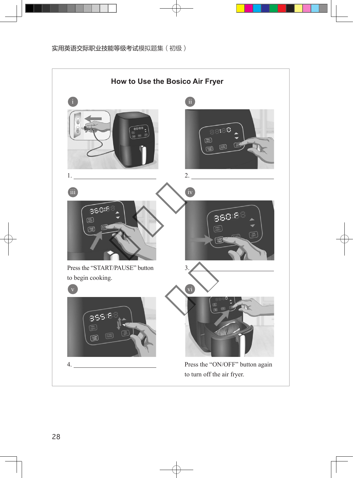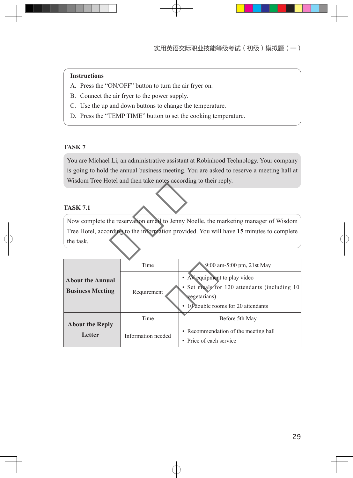#### **Instructions**

- A. Press the "ON/OFF" button to turn the air fryer on.
- B. Connect the air fryer to the power supply.
- C. Use the up and down buttons to change the temperature.
- D. Press the "TEMP TIME" button to set the cooking temperature.

#### **TASK 7**

You are Michael Li, an administrative assistant at Robinhood Technology. Your company is going to hold the annual business meeting. You are asked to reserve a meeting hall at Wisdom Tree Hotel and then take notes according to their reply.

### **TASK 7.1**

Now complete the reservation email to Jenny Noelle, the marketing manager of Wisdom Tree Hotel, according to the information provided. You will have **15** minutes to complete the task. nd then take notes according to<br>ervation email to Jenny Noelle,<br>to the information provided. You

| <b>About the Annual</b><br><b>Business Meeting</b> | Time               | 9:00 am-5:00 pm, 21st May                                                                                                            |
|----------------------------------------------------|--------------------|--------------------------------------------------------------------------------------------------------------------------------------|
|                                                    | Requirement        | • AV equipment to play video<br>• Set meals for 120 attendants (including 10)<br>vegetarians)<br>• 10 double rooms for 20 attendants |
| <b>About the Reply</b><br>Letter                   | Time               | Before 5th May                                                                                                                       |
|                                                    | Information needed | • Recommendation of the meeting hall<br>• Price of each service                                                                      |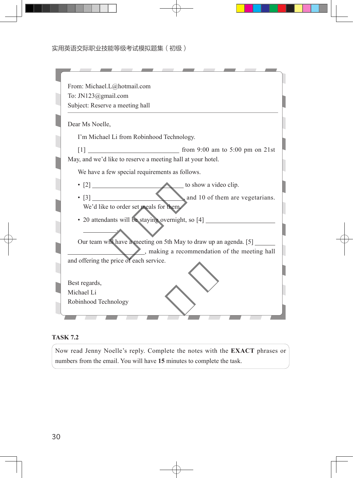| From: Michael.L@hotmail.com             |                                                                                                                    |
|-----------------------------------------|--------------------------------------------------------------------------------------------------------------------|
| To: JN123@gmail.com                     |                                                                                                                    |
| Subject: Reserve a meeting hall         |                                                                                                                    |
| Dear Ms Noelle,                         |                                                                                                                    |
|                                         | I'm Michael Li from Robinhood Technology.                                                                          |
|                                         |                                                                                                                    |
|                                         | May, and we'd like to reserve a meeting hall at your hotel.                                                        |
|                                         | We have a few special requirements as follows.                                                                     |
|                                         |                                                                                                                    |
|                                         |                                                                                                                    |
| We'd like to order set meals for them.  |                                                                                                                    |
|                                         | • 20 attendants will be staying overnight, so [4] ______________________________                                   |
|                                         |                                                                                                                    |
|                                         | Our team will have a meeting on 5th May to draw up an agenda. [5]<br>, making a recommendation of the meeting hall |
| and offering the price of each service. |                                                                                                                    |
|                                         |                                                                                                                    |
| Best regards,                           |                                                                                                                    |
| Michael Li                              |                                                                                                                    |
| Robinhood Technology                    |                                                                                                                    |

#### **TASK 7.2**

Now read Jenny Noelle's reply. Complete the notes with the **EXACT** phrases or numbers from the email. You will have **15** minutes to complete the task.